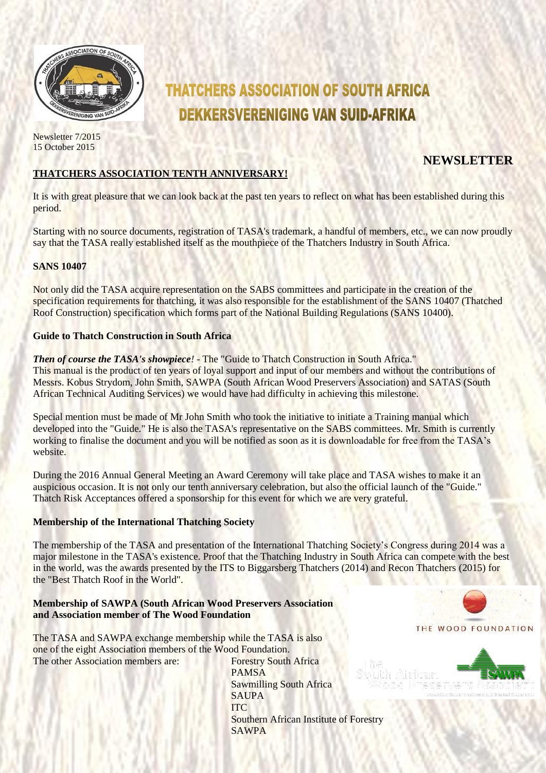

**THATCHERS ASSOCIATION OF SOUTH AFRICA DEKKERSVERENIGING VAN SUID-AFRIKA** 

Newsletter 7/2015 15 October 2015

# **NEWSLETTER**

# **THATCHERS ASSOCIATION TENTH ANNIVERSARY!**

It is with great pleasure that we can look back at the past ten years to reflect on what has been established during this period.

Starting with no source documents, registration of TASA's trademark, a handful of members, etc., we can now proudly say that the TASA really established itself as the mouthpiece of the Thatchers Industry in South Africa.

# **SANS 10407**

Not only did the TASA acquire representation on the SABS committees and participate in the creation of the specification requirements for thatching, it was also responsible for the establishment of the SANS 10407 (Thatched Roof Construction) specification which forms part of the National Building Regulations (SANS 10400).

# **Guide to Thatch Construction in South Africa**

*Then of course the TASA's showpiece!* - The "Guide to Thatch Construction in South Africa." This manual is the product of ten years of loyal support and input of our members and without the contributions of Messrs. Kobus Strydom, John Smith, SAWPA (South African Wood Preservers Association) and SATAS (South African Technical Auditing Services) we would have had difficulty in achieving this milestone.

Special mention must be made of Mr John Smith who took the initiative to initiate a Training manual which developed into the "Guide." He is also the TASA's representative on the SABS committees. Mr. Smith is currently working to finalise the document and you will be notified as soon as it is downloadable for free from the TASA's website.

During the 2016 Annual General Meeting an Award Ceremony will take place and TASA wishes to make it an auspicious occasion. It is not only our tenth anniversary celebration, but also the official launch of the "Guide." Thatch Risk Acceptances offered a sponsorship for this event for which we are very grateful.

# **Membership of the International Thatching Society**

The membership of the TASA and presentation of the International Thatching Society's Congress during 2014 was a major milestone in the TASA's existence. Proof that the Thatching Industry in South Africa can compete with the best in the world, was the awards presented by the ITS to Biggarsberg Thatchers (2014) and Recon Thatchers (2015) for the "Best Thatch Roof in the World".

#### **Membership of SAWPA (South African Wood Preservers Association and Association member of The Wood Foundation**

The TASA and SAWPA exchange membership while the TASA is also one of the eight Association members of the Wood Foundation. The other Association members are: Forestry South Africa

PAMSA Sawmilling South Africa SAUPA ITC Southern African Institute of Forestry SAWPA



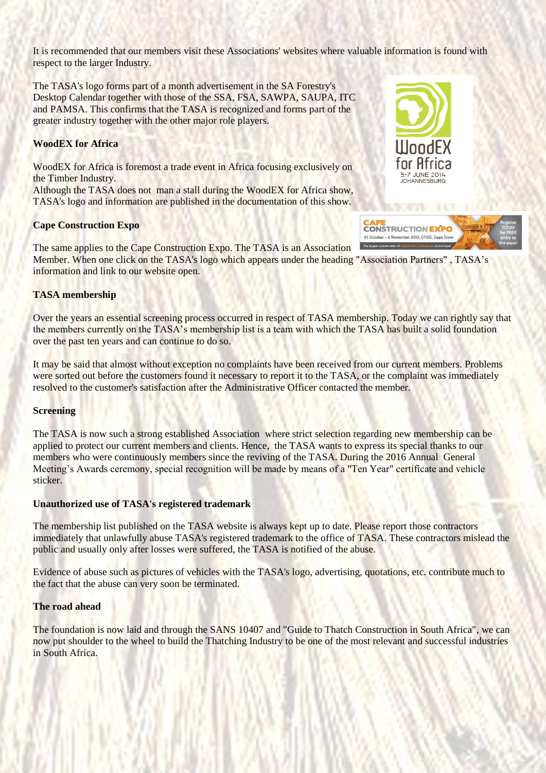It is recommended that our members visit these Associations' websites where valuable information is found with respect to the larger Industry.

The TASA's logo forms part of a month advertisement in the SA Forestry's Desktop Calendar together with those of the SSA, FSA, SAWPA, SAUPA, ITC and PAMSA. This confirms that the TASA is recognized and forms part of the greater industry together with the other major role players.

#### **WoodEX for Africa**

WoodEX for Africa is foremost a trade event in Africa focusing exclusively on the Timber Industry.

Although the TASA does not man a stall during the WoodEX for Africa show, TASA's logo and information are published in the documentation of this show.

#### **Cape Construction Expo**



**STL. 153.** 

**CONSTRUCTION EXPO** 31 October - 2 November 2013, CTICC, Cape Tow

The same applies to the Cape Construction Expo. The TASA is an Association Member. When one click on the TASA's logo which appears under the heading "Association Partners" , TASA's information and link to our website open.

#### **TASA membership**

Over the years an essential screening process occurred in respect of TASA membership. Today we can rightly say that the members currently on the TASA's membership list is a team with which the TASA has built a solid foundation over the past ten years and can continue to do so.

It may be said that almost without exception no complaints have been received from our current members. Problems were sorted out before the customers found it necessary to report it to the TASA, or the complaint was immediately resolved to the customer's satisfaction after the Administrative Officer contacted the member.

#### **Screening**

The TASA is now such a strong established Association where strict selection regarding new membership can be applied to protect our current members and clients. Hence, the TASA wants to express its special thanks to our members who were continuously members since the reviving of the TASA. During the 2016 Annual General Meeting's Awards ceremony, special recognition will be made by means of a "Ten Year" certificate and vehicle sticker.

#### **Unauthorized use of TASA's registered trademark**

The membership list published on the TASA website is always kept up to date. Please report those contractors immediately that unlawfully abuse TASA's registered trademark to the office of TASA. These contractors mislead the public and usually only after losses were suffered, the TASA is notified of the abuse.

Evidence of abuse such as pictures of vehicles with the TASA's logo, advertising, quotations, etc. contribute much to the fact that the abuse can very soon be terminated.

#### **The road ahead**

The foundation is now laid and through the SANS 10407 and "Guide to Thatch Construction in South Africa", we can now put shoulder to the wheel to build the Thatching Industry to be one of the most relevant and successful industries in South Africa.